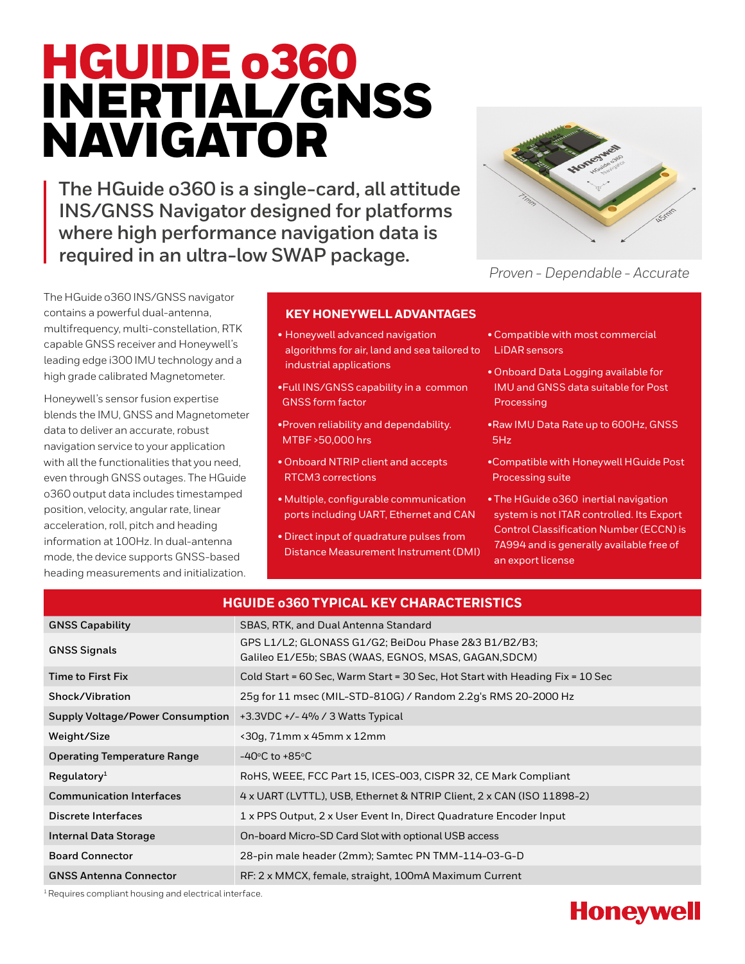# HGUIDE o360 INERTIAL/GNSS NAVIGATOR

**The HGuide o360 is a single-card, all attitude INS/GNSS Navigator designed for platforms where high performance navigation data is required in an ultra-low SWAP package.**



*Proven - Dependable - Accurate*

The HGuide o360 INS/GNSS navigator contains a powerful dual-antenna, multifrequency, multi-constellation, RTK capable GNSS receiver and Honeywell's leading edge i300 IMU technology and a high grade calibrated Magnetometer.

Honeywell's sensor fusion expertise blends the IMU, GNSS and Magnetometer data to deliver an accurate, robust navigation service to your application with all the functionalities that you need, even through GNSS outages. The HGuide o360 output data includes timestamped position, velocity, angular rate, linear acceleration, roll, pitch and heading information at 100Hz. In dual-antenna mode, the device supports GNSS-based heading measurements and initialization.

## **KEY HONEYWELL ADVANTAGES**

- Honeywell advanced navigation algorithms for air, land and sea tailored to industrial applications
- •Full INS/GNSS capability in a common GNSS form factor
- •Proven reliability and dependability. MTBF >50,000 hrs
- Onboard NTRIP client and accepts RTCM3 corrections
- Multiple, configurable communication ports including UART, Ethernet and CAN
- Direct input of quadrature pulses from Distance Measurement Instrument (DMI)
- Compatible with most commercial LiDAR sensors
- Onboard Data Logging available for IMU and GNSS data suitable for Post Processing
- •Raw IMU Data Rate up to 600Hz, GNSS 5Hz
- •Compatible with Honeywell HGuide Post Processing suite
- The HGuide o360 inertial navigation system is not ITAR controlled. Its Export Control Classification Number (ECCN) is 7A994 and is generally available free of an export license

| <b>HGUIDE 0360 TYPICAL KEY CHARACTERISTICS</b> |                                                                                                               |  |  |  |
|------------------------------------------------|---------------------------------------------------------------------------------------------------------------|--|--|--|
| <b>GNSS Capability</b>                         | SBAS, RTK, and Dual Antenna Standard                                                                          |  |  |  |
| <b>GNSS Signals</b>                            | GPS L1/L2; GLONASS G1/G2; BeiDou Phase 2&3 B1/B2/B3;<br>Galileo E1/E5b; SBAS (WAAS, EGNOS, MSAS, GAGAN, SDCM) |  |  |  |
| Time to First Fix                              | Cold Start = 60 Sec, Warm Start = 30 Sec, Hot Start with Heading Fix = 10 Sec                                 |  |  |  |
| Shock/Vibration                                | 25g for 11 msec (MIL-STD-810G) / Random 2.2g's RMS 20-2000 Hz                                                 |  |  |  |
| <b>Supply Voltage/Power Consumption</b>        | $+3.3$ VDC $+/-$ 4% / 3 Watts Typical                                                                         |  |  |  |
| Weight/Size                                    | $\langle$ 30g, 71mm x 45mm x 12mm                                                                             |  |  |  |
| <b>Operating Temperature Range</b>             | $-40^{\circ}$ C to +85 $^{\circ}$ C                                                                           |  |  |  |
| Regulatory <sup>1</sup>                        | RoHS, WEEE, FCC Part 15, ICES-003, CISPR 32, CE Mark Compliant                                                |  |  |  |
| <b>Communication Interfaces</b>                | 4 x UART (LVTTL), USB, Ethernet & NTRIP Client, 2 x CAN (ISO 11898-2)                                         |  |  |  |
| <b>Discrete Interfaces</b>                     | 1 x PPS Output, 2 x User Event In, Direct Quadrature Encoder Input                                            |  |  |  |
| Internal Data Storage                          | On-board Micro-SD Card Slot with optional USB access                                                          |  |  |  |
| <b>Board Connector</b>                         | 28-pin male header (2mm); Samtec PN TMM-114-03-G-D                                                            |  |  |  |
| <b>GNSS Antenna Connector</b>                  | RF: 2 x MMCX, female, straight, 100mA Maximum Current                                                         |  |  |  |

<sup>1</sup> Requires compliant housing and electrical interface.

## **Honeywell**